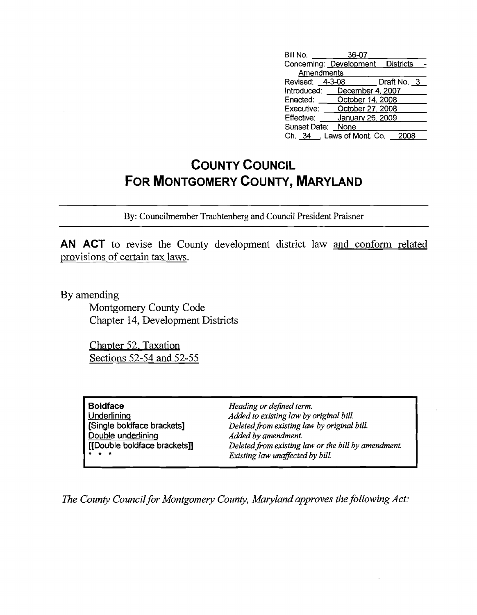| Bill No.        | 36-07                             |             |
|-----------------|-----------------------------------|-------------|
|                 | Concerning: Development Districts |             |
| Amendments      |                                   |             |
| Revised: 4-3-08 |                                   | Draft No. 3 |
| Introduced:     | December 4, 2007                  |             |
| Enacted:        | October 14, 2008                  |             |
| Executive:      | October 27, 2008                  |             |
| Effective:      | January 26, 2009                  |             |
| Sunset Date:    | None                              |             |
|                 | Ch. 34 , Laws of Mont. Co.        | 2008        |

## **COUNTY COUNCIL FOR MONTGOMERY COUNTY, MARYLAND**

By: Councilmember Trachtenberg and Council President Praisner

**AN ACT** to revise the County development district law and conform related provisions of certain tax laws.

By amending

Montgomery County Code Chapter 14, Development Districts

Chapter 52, Taxation Sections 52-54 **and** 52-55

| <b>Boldface</b>              |  |
|------------------------------|--|
| Underlining                  |  |
| [Single boldface brackets]   |  |
| Double underlining           |  |
| [[Double boldface brackets]] |  |
|                              |  |

*Heading or defined term. Added to existing law by original bill. Deletedfrom existing law by original bill. Added by amendment. Deletedfrom existing law or the bill by amendment. Existing law unaffected by bill.*

*The County Council for Montgomery County, Maryland approves the following Act:*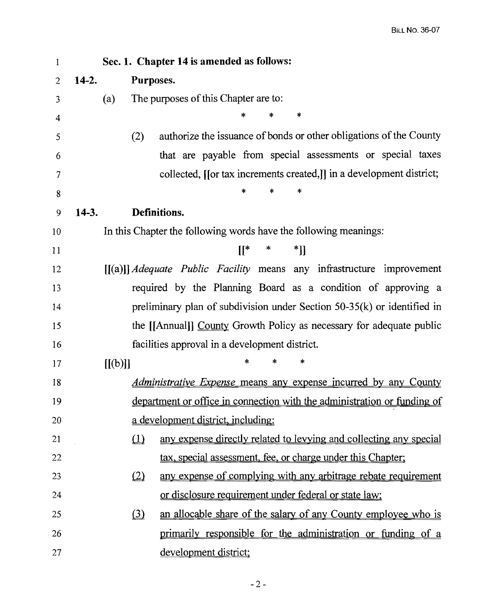| $\mathbf{1}$   |         | Sec. 1. Chapter 14 is amended as follows:                                       |
|----------------|---------|---------------------------------------------------------------------------------|
| $\overline{2}$ | $14-2.$ | Purposes.                                                                       |
| 3              | (a)     | The purposes of this Chapter are to:                                            |
| 4              |         | $\ast$<br>*<br>ж                                                                |
| 5              |         | authorize the issuance of bonds or other obligations of the County<br>(2)       |
| 6              |         | that are payable from special assessments or special taxes                      |
| 7              |         | collected, [[or tax increments created,]] in a development district;            |
| 8              |         | *<br>*                                                                          |
| 9              | $14-3.$ | Definitions.                                                                    |
| 10             |         | In this Chapter the following words have the following meanings:                |
| 11             |         | $[[* \t*$<br>$*$ ]]                                                             |
| 12             |         | $[[(a)]]$ <i>Adequate Public Facility</i> means any infrastructure improvement  |
| 13             |         | required by the Planning Board as a condition of approving a                    |
| 14             |         | preliminary plan of subdivision under Section $50-35(k)$ or identified in       |
| 15             |         | the [[Annual]] County Growth Policy as necessary for adequate public            |
| 16             |         | facilities approval in a development district.                                  |
| 17             |         | ∗<br>*<br>*<br>[[(b)]]                                                          |
| 18             |         | <i><u>Administrative Expense means any expense incurred by any County</u></i>   |
| 19             |         | <u>department or office in connection with the administration or funding of</u> |
| 20             |         | <u>a development district, including:</u>                                       |
| 21             |         | $\Omega$<br>any expense directly related to levying and collecting any special  |
| 22             |         | tax, special assessment, fee, or charge under this Chapter;                     |
| 23             |         | $\Omega$<br>any expense of complying with any arbitrage rebate requirement      |
| 24             |         | or disclosure requirement under federal or state law;                           |
| 25             |         | an allocable share of the salary of any County employee who is<br>$\Omega$      |
| 26             |         | primarily responsible for the administration or funding of a                    |
| 27             |         | development district;                                                           |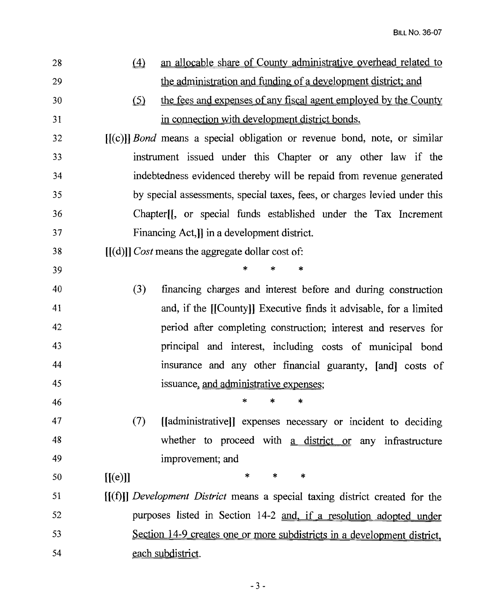| 28 | $\left( 4\right)$<br>an allocable share of County administrative overhead related to              |
|----|---------------------------------------------------------------------------------------------------|
| 29 | the administration and funding of a development district; and                                     |
| 30 | the fees and expenses of any fiscal agent employed by the County<br>$\circ$                       |
| 31 | in connection with development district bonds.                                                    |
| 32 | $[(c)]$ <i>Bond</i> means a special obligation or revenue bond, note, or similar                  |
| 33 | instrument issued under this Chapter or any other law if the                                      |
| 34 | indebtedness evidenced thereby will be repaid from revenue generated                              |
| 35 | by special assessments, special taxes, fees, or charges levied under this                         |
| 36 | Chapter <sup>[1</sup> ], or special funds established under the Tax Increment                     |
| 37 | Financing Act, I in a development district.                                                       |
| 38 | $[[(d)]]$ Cost means the aggregate dollar cost of:                                                |
| 39 | *                                                                                                 |
| 40 | (3)<br>financing charges and interest before and during construction                              |
| 41 | and, if the [[County]] Executive finds it advisable, for a limited                                |
| 42 | period after completing construction; interest and reserves for                                   |
| 43 | principal and interest, including costs of municipal bond                                         |
| 44 | insurance and any other financial guaranty, [and] costs of                                        |
| 45 | issuance, and administrative expenses;                                                            |
| 46 | المستحدث المستحدث والمستحدث والمستحدث والمستحدث والمستحدث والمستحدث والمستحدث والمستحدث والمستحدث |
| 47 | (7)<br>[[administrative]] expenses necessary or incident to deciding                              |
| 48 | whether to proceed with a district or any infrastructure                                          |
| 49 | improvement; and                                                                                  |
| 50 | $\ast$<br>[[(e)]]<br>*<br>$\ast$                                                                  |
| 51 | [(f)]] Development District means a special taxing district created for the                       |
| 52 | purposes listed in Section 14-2 and, if a resolution adopted under                                |
| 53 | Section 14-9 creates one or more subdistricts in a development district,                          |
| 54 | each subdistrict.                                                                                 |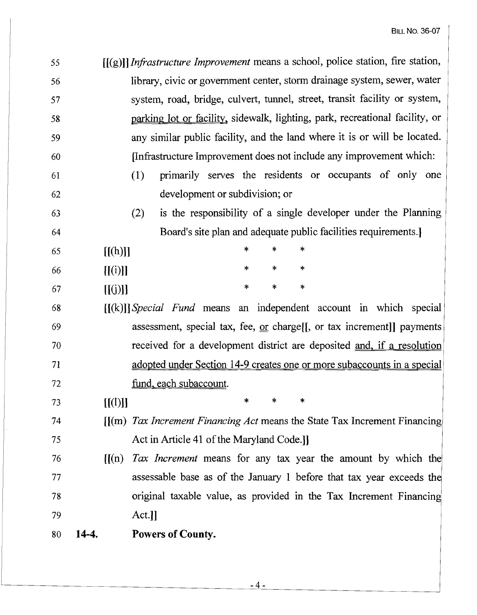| 55 |         | [[(g)]] Infrastructure Improvement means a school, police station, fire station, |
|----|---------|----------------------------------------------------------------------------------|
| 56 |         | library, civic or government center, storm drainage system, sewer, water         |
| 57 |         | system, road, bridge, culvert, tunnel, street, transit facility or system,       |
| 58 |         | parking lot or facility, sidewalk, lighting, park, recreational facility, or     |
| 59 |         | any similar public facility, and the land where it is or will be located.        |
| 60 |         | Infrastructure Improvement does not include any improvement which:               |
| 61 |         | (1)<br>primarily serves the residents or occupants of only one                   |
| 62 |         | development or subdivision; or                                                   |
| 63 |         | is the responsibility of a single developer under the Planning<br>(2)            |
| 64 |         | Board's site plan and adequate public facilities requirements.]                  |
| 65 | [[(h)]] | *<br>*<br>*                                                                      |
| 66 | [[(i)]] | *<br>*<br>∗                                                                      |
| 67 | [[(j)]] | $\ast$<br>*<br>$\ast$                                                            |
| 68 |         | $[(k)]$ Special Fund means an independent account in which special               |
| 69 |         | assessment, special tax, fee, $or charge[$ , or tax increment]] payments         |
| 70 |         | received for a development district are deposited and, if a resolution           |
| 71 |         | adopted under Section 14-9 creates one or more subaccounts in a special          |
| 72 |         | fund, each subaccount.                                                           |
| 73 | [[(1)]] | *<br>∗<br>*                                                                      |
| 74 |         | $[(m)$ Tax Increment Financing Act means the State Tax Increment Financing       |
| 75 |         | Act in Article 41 of the Maryland Code.]                                         |
| 76 | [[(n)]  | Tax Increment means for any tax year the amount by which the                     |
| 77 |         | assessable base as of the January 1 before that tax year exceeds the             |
| 78 |         | original taxable value, as provided in the Tax Increment Financing               |
| 79 |         | Act.                                                                             |
| 80 | 14-4.   | Powers of County.                                                                |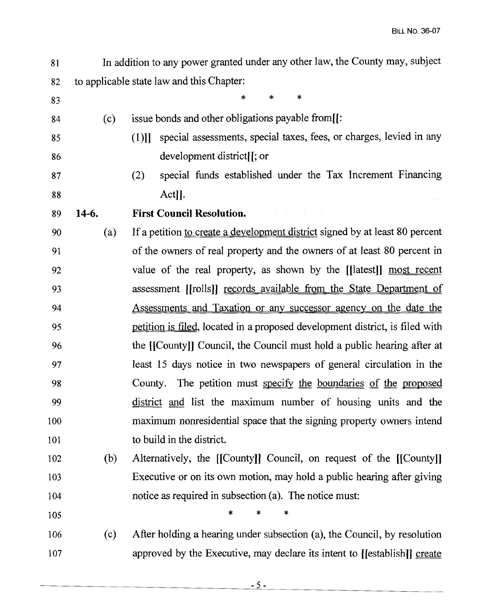- In addition to any power granted under any other law, the County may, subject to applicable state law and this Chapter: 81 82
- (c) issue bonds and other obligations payable from[[: (1)]] special assessments, special taxes, fees, or charges, levied in any development district[[; or (2) special funds established under the Tax Increment Financing Act]]. **14-6. First Council Resolution.** (a) If a petition to create a development district signed by at least 80 percent of the owners of real property and the owners of at least 80 percent in value of the real property, as shown by the [[latest]] most recent assessment [[rolls]] records available from the State Department of Assessments and Taxation or any successor agency on the date the petition is filed, located in a proposed development district, is filed with the [[County]] Council, the Council must hold a public hearing after at least 15 days notice in two newspapers of general circulation in the County. The petition must specify the boundaries of the proposed district and list the maximum number of housing units and the maximum nonresidential space that the signing property owners intend to build in the district. 83 84 85 86 87 88 89 90 91 92 93 94 95 96 97 98 99 100 101 \* \* \*
- (b) Alternatively, the [[County]] Council, on request of the [[County]] Executive or on its own motion, may hold a public hearing after giving notice as required in subsection (a). The notice must: 102 103 104
- (c) After holding a hearing under subsection (a), the Council, by resolution approved by the Executive, may declare its intent to [[establish]] create 106 107 \* \*

105

\*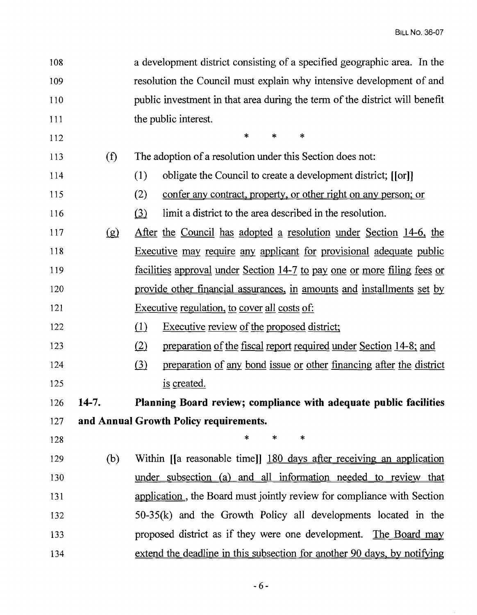| 108 |       | a development district consisting of a specified geographic area. In the                              |
|-----|-------|-------------------------------------------------------------------------------------------------------|
| 109 |       | resolution the Council must explain why intensive development of and                                  |
| 110 |       | public investment in that area during the term of the district will benefit                           |
| 111 |       | the public interest.                                                                                  |
| 112 |       | $\ast$<br>$\ast$<br>*                                                                                 |
| 113 | (f)   | The adoption of a resolution under this Section does not:                                             |
| 114 |       | obligate the Council to create a development district; [[or]]<br>(1)                                  |
| 115 |       | (2)<br>confer any contract, property, or other right on any person; or                                |
| 116 |       | limit a district to the area described in the resolution.<br>$\Omega$                                 |
| 117 | (g)   | <u>After the Council has adopted a resolution under Section 14-6, the</u>                             |
| 118 |       | <b>Executive may require any applicant for provisional adequate public</b>                            |
| 119 |       | <u>facilities approval under Section 14-7 to pay one or more filing fees or</u>                       |
| 120 |       | provide other financial assurances, in amounts and installments set by                                |
| 121 |       | Executive regulation, to cover all costs of:                                                          |
| 122 |       | $\Omega$<br><b>Executive review of the proposed district;</b>                                         |
| 123 |       | (2)<br>preparation of the fiscal report required under Section 14-8; and                              |
| 124 |       | $\left( \underline{3} \right)$<br>preparation of any bond issue or other financing after the district |
| 125 |       | is created.                                                                                           |
| 126 | 14-7. | <b>Planning Board review; compliance with adequate public facilities</b>                              |
| 127 |       | and Annual Growth Policy requirements.                                                                |
| 128 |       | $\ast$<br>$\ast$<br>$\ast$                                                                            |
| 129 | (b)   | Within [[a reasonable time]] 180 days after receiving an application                                  |
| 130 |       | under subsection (a) and all information needed to review that                                        |
| 131 |       | application, the Board must jointly review for compliance with Section                                |
| 132 |       | $50-35(k)$ and the Growth Policy all developments located in the                                      |
| 133 |       | proposed district as if they were one development. The Board may                                      |
| 134 |       | extend the deadline in this subsection for another 90 days, by notifying                              |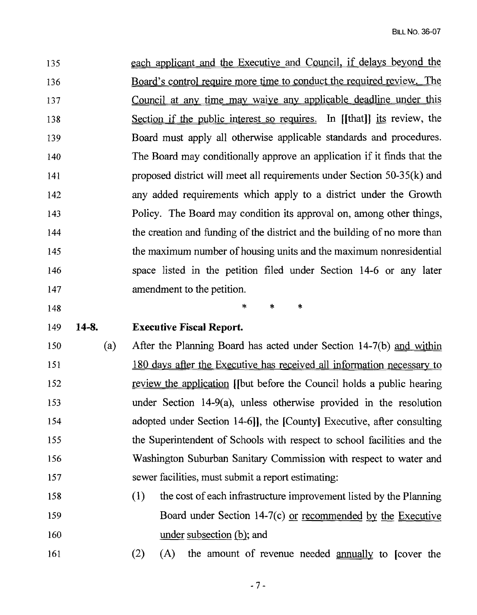| 135 |         | each applicant and the Executive and Council, if delays beyond the        |
|-----|---------|---------------------------------------------------------------------------|
| 136 |         | Board's control require more time to conduct the required review. The     |
| 137 |         | Council at any time may waive any applicable deadline under this          |
| 138 |         | Section if the public interest so requires. In [[that]] its review, the   |
| 139 |         | Board must apply all otherwise applicable standards and procedures.       |
| 140 |         | The Board may conditionally approve an application if it finds that the   |
| 141 |         | proposed district will meet all requirements under Section $50-35(k)$ and |
| 142 |         | any added requirements which apply to a district under the Growth         |
| 143 |         | Policy. The Board may condition its approval on, among other things,      |
| 144 |         | the creation and funding of the district and the building of no more than |
| 145 |         | the maximum number of housing units and the maximum nonresidential        |
| 146 |         | space listed in the petition filed under Section 14-6 or any later        |
| 147 |         | amendment to the petition.                                                |
|     |         | $\ast$<br>$\ast$<br>$\ast$                                                |
| 148 |         |                                                                           |
| 149 | $14-8.$ | <b>Executive Fiscal Report.</b>                                           |
| 150 | (a)     | After the Planning Board has acted under Section 14-7(b) and within       |
| 151 |         | 180 days after the Executive has received all information necessary to    |
| 152 |         | review the application [[but before the Council holds a public hearing    |
| 153 |         | under Section $14-9(a)$ , unless otherwise provided in the resolution     |
| 154 |         | adopted under Section 14-6]], the [County] Executive, after consulting    |
| 155 |         | the Superintendent of Schools with respect to school facilities and the   |
| 156 |         | Washington Suburban Sanitary Commission with respect to water and         |
| 157 |         | sewer facilities, must submit a report estimating:                        |
| 158 |         | (1)<br>the cost of each infrastructure improvement listed by the Planning |
| 159 |         | Board under Section 14-7(c) or recommended by the Executive               |
| 160 |         | under subsection (b); and                                                 |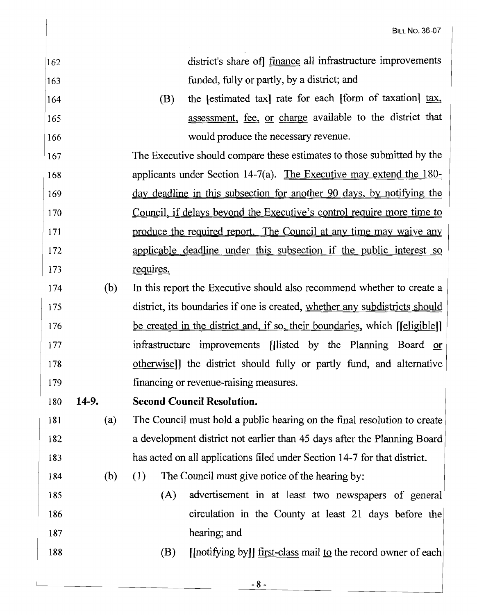| 162 |              | district's share of] finance all infrastructure improvements                  |
|-----|--------------|-------------------------------------------------------------------------------|
| 163 |              | funded, fully or partly, by a district; and                                   |
| 164 |              | the [estimated tax] rate for each [form of taxation] tax,<br>(B)              |
| 165 |              | assessment, fee, or charge available to the district that                     |
| 166 |              | would produce the necessary revenue.                                          |
| 167 |              | The Executive should compare these estimates to those submitted by the        |
| 168 |              | applicants under Section 14-7(a). The Executive may extend the $180-$         |
| 169 |              | day deadline in this subsection for another 90 days, by notifying the         |
| 170 |              | <u>Council, if delays beyond the Executive's control require more time to</u> |
| 171 |              | produce the required report. The Council at any time may waive any            |
| 172 |              | applicable deadline under this subsection if the public interest so           |
| 173 |              | <u>requires.</u>                                                              |
| 174 | (b)          | In this report the Executive should also recommend whether to create a        |
| 175 |              | district, its boundaries if one is created, whether any subdistricts should   |
| 176 |              | be created in the district and, if so, their boundaries, which [[eligible]]   |
| 177 |              | infrastructure improvements [[listed by the Planning Board or                 |
| 178 |              | otherwise]] the district should fully or partly fund, and alternative         |
| 179 |              | financing or revenue-raising measures.                                        |
| 180 | <b>14-9.</b> | <b>Second Council Resolution.</b>                                             |
| 181 | (a)          | The Council must hold a public hearing on the final resolution to create      |
| 182 |              | a development district not earlier than 45 days after the Planning Board      |
| 183 |              | has acted on all applications filed under Section 14-7 for that district.     |
| 184 | (b)          | The Council must give notice of the hearing by:<br>(1)                        |
| 185 |              | advertisement in at least two newspapers of general<br>(A)                    |
| 186 |              | circulation in the County at least 21 days before the                         |
| 187 |              | hearing; and                                                                  |
| 188 |              | [[notifying by]] first-class mail to the record owner of each]<br>(B)         |
|     |              |                                                                               |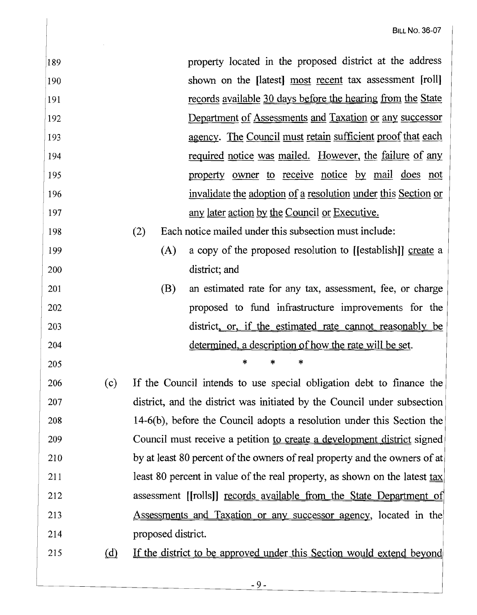| 189 |                             | property located in the proposed district at the address                               |
|-----|-----------------------------|----------------------------------------------------------------------------------------|
| 190 |                             | shown on the [latest] most recent tax assessment [roll]                                |
| 191 |                             | records available 30 days before the hearing from the State                            |
| 192 |                             | Department of Assessments and Taxation or any successor                                |
| 193 |                             | agency. The Council must retain sufficient proof that each                             |
| 194 |                             | required notice was mailed. However, the failure of any                                |
| 195 |                             | property owner to receive notice by mail does not                                      |
| 196 |                             | invalidate the adoption of a resolution under this Section or                          |
| 197 |                             | any later action by the Council or Executive.                                          |
| 198 |                             | Each notice mailed under this subsection must include:<br>(2)                          |
| 199 |                             | a copy of the proposed resolution to [[establish]] create a<br>(A)                     |
| 200 |                             | district; and                                                                          |
| 201 |                             | an estimated rate for any tax, assessment, fee, or charge<br>(B)                       |
| 202 |                             | proposed to fund infrastructure improvements for the                                   |
| 203 |                             | district, or, if the estimated rate cannot reasonably be                               |
| 204 |                             | determined, a description of how the rate will be set.                                 |
| 205 |                             | *<br>*<br>×                                                                            |
| 206 | (c)                         | If the Council intends to use special obligation debt to finance the                   |
| 207 |                             | district, and the district was initiated by the Council under subsection               |
| 208 |                             | 14-6(b), before the Council adopts a resolution under this Section the                 |
| 209 |                             | Council must receive a petition to create a development district signed                |
| 210 |                             | by at least 80 percent of the owners of real property and the owners of at             |
| 211 |                             | least 80 percent in value of the real property, as shown on the latest $\frac{tax}{ }$ |
| 212 |                             | assessment [[rolls]] records available from the State Department of                    |
| 213 |                             | Assessments and Taxation or any successor agency, located in the                       |
| 214 |                             | proposed district.                                                                     |
| 215 | $\underline{\underline{d}}$ | If the district to be approved under this Section would extend beyond                  |
|     |                             |                                                                                        |

 $\tilde{\mathcal{A}}$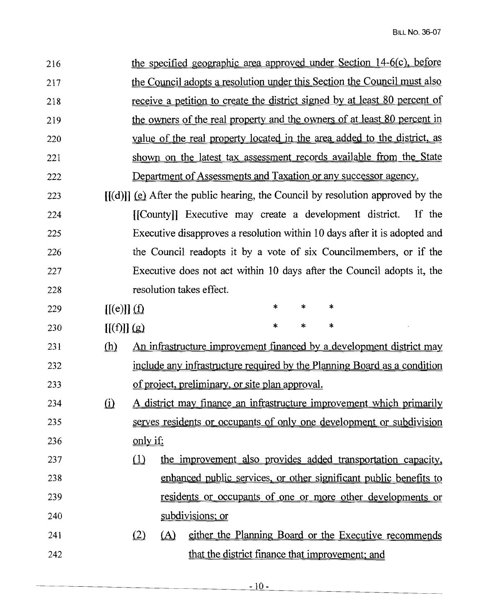| 216 |                          |                 |          | the specified geographic area approved under Section 14-6(c), before            |        |   |        |  |        |
|-----|--------------------------|-----------------|----------|---------------------------------------------------------------------------------|--------|---|--------|--|--------|
| 217 |                          |                 |          | the Council adopts a resolution under this Section the Council must also        |        |   |        |  |        |
| 218 |                          |                 |          | receive a petition to create the district signed by at least 80 percent of      |        |   |        |  |        |
| 219 |                          |                 |          | the owners of the real property and the owners of at least 80 percent in        |        |   |        |  |        |
| 220 |                          |                 |          | value of the real property located in the area added to the district, as        |        |   |        |  |        |
| 221 |                          |                 |          | shown on the latest tax assessment records available from the State             |        |   |        |  |        |
| 222 |                          |                 |          | Department of Assessments and Taxation or any successor agency.                 |        |   |        |  |        |
| 223 |                          |                 |          | $[(d)]$ (e) After the public hearing, the Council by resolution approved by the |        |   |        |  |        |
| 224 |                          |                 |          | [[County]] Executive may create a development district.                         |        |   |        |  | If the |
| 225 |                          |                 |          | Executive disapproves a resolution within 10 days after it is adopted and       |        |   |        |  |        |
| 226 |                          |                 |          | the Council readopts it by a vote of six Councilmembers, or if the              |        |   |        |  |        |
| 227 |                          |                 |          | Executive does not act within 10 days after the Council adopts it, the          |        |   |        |  |        |
| 228 |                          |                 |          | resolution takes effect.                                                        |        |   |        |  |        |
| 229 | $[[(e)]](\underline{f})$ |                 |          |                                                                                 | *      | * | $\ast$ |  |        |
| 230 | [(f)]] (g)               |                 |          |                                                                                 | $\ast$ | * | *      |  |        |
| 231 | <u>(h)</u>               |                 |          | <u>An infrastructure improvement financed by a development district may</u>     |        |   |        |  |        |
| 232 |                          |                 |          | include any infrastructure required by the Planning Board as a condition        |        |   |        |  |        |
| 233 |                          |                 |          | of project, preliminary, or site plan approval.                                 |        |   |        |  |        |
| 234 | $\Omega$                 |                 |          | A district may finance an infrastructure improvement which primarily            |        |   |        |  |        |
| 235 |                          |                 |          | serves residents or occupants of only one development or subdivision            |        |   |        |  |        |
| 236 |                          | <u>only if:</u> |          |                                                                                 |        |   |        |  |        |
| 237 |                          | $\mathbf{r}$    |          | the improvement also provides added transportation capacity,                    |        |   |        |  |        |
| 238 |                          |                 |          | enhanced public services, or other significant public benefits to               |        |   |        |  |        |
| 239 |                          |                 |          | <u>residents or occupants of one or more other developments or</u>              |        |   |        |  |        |
| 240 |                          |                 |          | subdivisions; or                                                                |        |   |        |  |        |
| 241 |                          | (2)             | $\Delta$ | either the Planning Board or the Executive recommends                           |        |   |        |  |        |
| 242 |                          |                 |          | that the district finance that improvement; and                                 |        |   |        |  |        |

<u>and the company of the company of the company of the company of the company of the company of the company of the company of the company of the company of the company of the company of the company of the company of the com</u>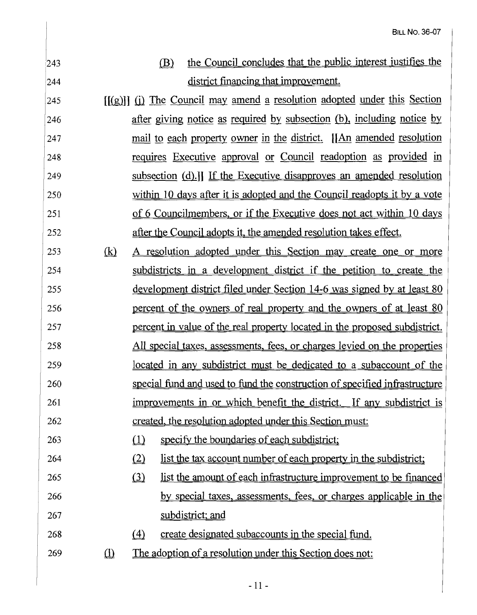| 243 |                                  | the Council concludes that the public interest justifies the<br>(B)                 |
|-----|----------------------------------|-------------------------------------------------------------------------------------|
| 244 |                                  | district financing that improvement.                                                |
| 245 |                                  | [(g)] (i) The Council may amend a resolution adopted under this Section             |
| 246 |                                  | after giving notice as required by subsection (b), including notice by              |
| 247 |                                  | mail to each property owner in the district. [An amended resolution                 |
| 248 |                                  | requires Executive approval or Council readoption as provided in                    |
| 249 |                                  | subsection (d).] If the Executive disapproves an amended resolution                 |
| 250 |                                  | within 10 days after it is adopted and the Council readopts it by a vote            |
| 251 |                                  | of 6 Councilmembers, or if the Executive does not act within 10 days                |
| 252 |                                  | after the Council adopts it, the amended resolution takes effect.                   |
| 253 | (k)                              | A resolution adopted under this Section may create one or more                      |
| 254 |                                  | subdistricts in a development district if the petition to create the                |
| 255 |                                  | <u>development district filed under Section 14-6 was signed by at least 80</u>      |
| 256 |                                  | percent of the owners of real property and the owners of at least 80                |
| 257 |                                  | percent in value of the real property located in the proposed subdistrict.          |
| 258 |                                  | All special taxes, assessments, fees, or charges levied on the properties           |
| 259 |                                  | <u>located in any subdistrict must be dedicated to a subaccount of the</u>          |
| 260 |                                  | special fund and used to fund the construction of specified infrastructure          |
| 261 |                                  | improvements in or which benefit the district. If any subdistrict is                |
| 262 |                                  | created, the resolution adopted under this Section must:                            |
| 263 |                                  | $\omega$<br>specify the boundaries of each subdistrict;                             |
| 264 |                                  | $\Omega$<br><u>list the tax account number of each property in the subdistrict;</u> |
| 265 |                                  | $\Omega$<br>list the amount of each infrastructure improvement to be financed       |
| 266 |                                  | by special taxes, assessments, fees, or charges applicable in the                   |
| 267 |                                  | subdistrict; and                                                                    |
| 268 |                                  | create designated subaccounts in the special fund.<br>$\triangle$                   |
| 269 | $\hbox{\rlap{$\sqcup$}$\sqcup$}$ | <u>The adoption of a resolution under this Section does not:</u>                    |
|     |                                  |                                                                                     |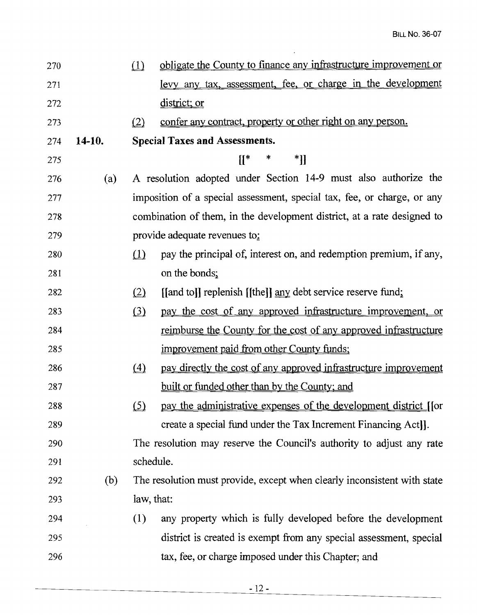| 270 |        | (1)                            | obligate the County to finance any infrastructure improvement or         |
|-----|--------|--------------------------------|--------------------------------------------------------------------------|
| 271 |        |                                | levy any tax, assessment, fee, or charge in the development              |
| 272 |        |                                | district; or                                                             |
| 273 |        | (2)                            | confer any contract, property or other right on any person.              |
| 274 | 14-10. |                                | <b>Special Taxes and Assessments.</b>                                    |
| 275 |        |                                | $[[^*]$<br>*]]<br>$\ast$                                                 |
| 276 | (a)    |                                | A resolution adopted under Section 14-9 must also authorize the          |
| 277 |        |                                | imposition of a special assessment, special tax, fee, or charge, or any  |
| 278 |        |                                | combination of them, in the development district, at a rate designed to  |
| 279 |        |                                | provide adequate revenues to:                                            |
| 280 |        | $\left( \underline{1} \right)$ | pay the principal of, interest on, and redemption premium, if any,       |
| 281 |        |                                | on the bonds;                                                            |
| 282 |        | (2)                            | [[and to]] replenish [[the]] any debt service reserve fund;              |
| 283 |        | (3)                            | pay the cost of any approved infrastructure improvement, or              |
| 284 |        |                                | <u>reimburse the County for the cost of any approved infrastructure</u>  |
| 285 |        |                                | improvement paid from other County funds;                                |
| 286 |        | $\langle 4 \rangle$            | pay directly the cost of any approved infrastructure improvement         |
| 287 |        |                                | <u>built or funded other than by the County; and</u>                     |
| 288 |        | (5)                            | pay the administrative expenses of the development district [[or         |
| 289 |        |                                | create a special fund under the Tax Increment Financing Act].            |
| 290 |        |                                | The resolution may reserve the Council's authority to adjust any rate    |
| 291 |        | schedule.                      |                                                                          |
| 292 | (b)    |                                | The resolution must provide, except when clearly inconsistent with state |
| 293 |        | law, that:                     |                                                                          |
| 294 |        | (1)                            | any property which is fully developed before the development             |
| 295 |        |                                | district is created is exempt from any special assessment, special       |
| 296 |        |                                | tax, fee, or charge imposed under this Chapter; and                      |

 $\sim$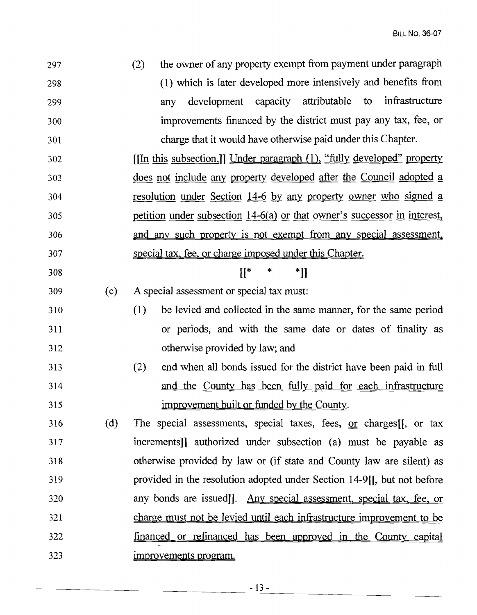| 297 |     | the owner of any property exempt from payment under paragraph<br>(2)     |
|-----|-----|--------------------------------------------------------------------------|
| 298 |     | (1) which is later developed more intensively and benefits from          |
| 299 |     | development capacity attributable to infrastructure<br>any               |
| 300 |     | improvements financed by the district must pay any tax, fee, or          |
| 301 |     | charge that it would have otherwise paid under this Chapter.             |
| 302 |     | [In this subsection.]] Under paragraph (1), "fully developed" property   |
| 303 |     | does not include any property developed after the Council adopted a      |
| 304 |     | <u>resolution under Section 14-6 by any property owner who signed a</u>  |
| 305 |     | petition under subsection 14-6(a) or that owner's successor in interest, |
| 306 |     | and any such property is not exempt from any special assessment,         |
| 307 |     | special tax, fee, or charge imposed under this Chapter.                  |
| 308 |     | $[[^*$<br>$\ast$<br>*]]                                                  |
| 309 | (c) | A special assessment or special tax must:                                |
| 310 |     | be levied and collected in the same manner, for the same period<br>(1)   |
| 311 |     | or periods, and with the same date or dates of finality as               |
| 312 |     | otherwise provided by law; and                                           |
| 313 |     | end when all bonds issued for the district have been paid in full<br>(2) |
| 314 |     | and the County has been fully paid for each infrastructure               |
| 315 |     | <u>improvement built or funded by the County</u> .                       |
| 316 | (d) | The special assessments, special taxes, fees, $or$ charges[[, or tax     |
| 317 |     | increments]] authorized under subsection (a) must be payable as          |
| 318 |     | otherwise provided by law or (if state and County law are silent) as     |
| 319 |     | provided in the resolution adopted under Section 14-9[, but not before   |
| 320 |     | any bonds are issued]. Any special assessment, special tax, fee, or      |
| 321 |     | charge must not be levied until each infrastructure improvement to be    |
| 322 |     | financed or refinanced has been approved in the County capital           |
| 323 |     | improvements program.                                                    |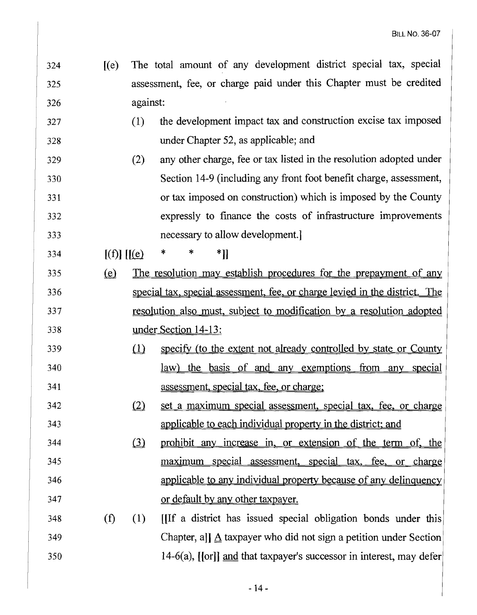- [(e) The total amount of any development district special tax, special assessment, fee, or charge paid under this Chapter must be credited against
- (1) the development impact tax and construction excise tax imposed under Chapter 52, as applicable; and
- (2) any other charge, fee or tax listed in the resolution adopted under Section 14-9 (including any front foot benefit charge, assessment, or tax imposed on construction) which is imposed by the County 332 expressly to finance the costs of infrastructure improvements necessary to allow development.]

334  $[(f)]$   $[[(e) * * * * ]]$ 

- 335 (e) The resolution may establish procedures for the prepayment of any 336 special tax, special assessment, fee, or charge levied in the district. The resolution also must. subject to modification by a resolution adopted under Section 14-13:
- 339 (1) specify (to the extent not already controlled by state or County law) the basis of and any exemptions from any special assessment. special tax, fee, or charge:
- 342 (2) set a maximum special assessment, special tax, fee, or charge applicable to each individual property in the district: and
- 344 (3) prohibit any increase in, or extension of the term of, the 345 maximum special assessment, special tax, fee, or charge applicable to any individual property because of any delinquency or default by any other taxpayer.
- (f) (1) [[If a district has issued special obligation bonds under this Chapter, all  $\triangle$  taxpayer who did not sign a petition under Section 14-6(a), [[or]] and that taxpayer's successor in interest, may defer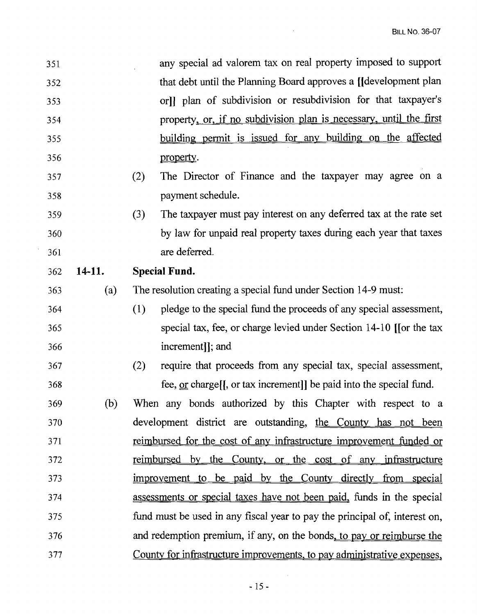| 351 |        | any special ad valorem tax on real property imposed to support             |
|-----|--------|----------------------------------------------------------------------------|
| 352 |        | that debt until the Planning Board approves a [[development plan]          |
| 353 |        | orll plan of subdivision or resubdivision for that taxpayer's              |
| 354 |        | property, or, if no subdivision plan is necessary, until the first         |
| 355 |        | building permit is issued for any building on the affected                 |
| 356 |        | property.                                                                  |
| 357 |        | The Director of Finance and the taxpayer may agree on a<br>(2)             |
| 358 |        | payment schedule.                                                          |
| 359 |        | The taxpayer must pay interest on any deferred tax at the rate set<br>(3)  |
| 360 |        | by law for unpaid real property taxes during each year that taxes          |
| 361 |        | are deferred.                                                              |
| 362 | 14-11. | <b>Special Fund.</b>                                                       |
| 363 | (a)    | The resolution creating a special fund under Section 14-9 must:            |
| 364 |        | pledge to the special fund the proceeds of any special assessment,<br>(1)  |
| 365 |        | special tax, fee, or charge levied under Section $14-10$ [for the tax      |
| 366 |        | increment], and                                                            |
| 367 |        | require that proceeds from any special tax, special assessment,<br>(2)     |
| 368 |        | fee, $or charge$ , or tax increment]] be paid into the special fund.       |
| 369 | (b)    | When any bonds authorized by this Chapter with respect to a                |
| 370 |        | development district are outstanding, the County has not been              |
| 371 |        | <u>reimbursed for the cost of any infrastructure improvement funded or</u> |
| 372 |        | <u>reimbursed by the County, or the cost of any infrastructure</u>         |
| 373 |        | improvement to be paid by the County directly from special                 |
| 374 |        | assessments or special taxes have not been paid, funds in the special      |
| 375 |        | fund must be used in any fiscal year to pay the principal of, interest on, |
| 376 |        | and redemption premium, if any, on the bonds, to pay or reimburse the      |
| 377 |        | County for infrastructure improvements, to pay administrative expenses,    |

 $\mathcal{L}^{\mathcal{L}}(\mathcal{L}^{\mathcal{L}})$  . The set of  $\mathcal{L}^{\mathcal{L}}(\mathcal{L}^{\mathcal{L}})$ 

 $\frac{1}{2} \sum_{i=1}^{n} \frac{1}{2} \sum_{j=1}^{n} \frac{1}{2} \sum_{j=1}^{n} \frac{1}{2} \sum_{j=1}^{n} \frac{1}{2} \sum_{j=1}^{n} \frac{1}{2} \sum_{j=1}^{n} \frac{1}{2} \sum_{j=1}^{n} \frac{1}{2} \sum_{j=1}^{n} \frac{1}{2} \sum_{j=1}^{n} \frac{1}{2} \sum_{j=1}^{n} \frac{1}{2} \sum_{j=1}^{n} \frac{1}{2} \sum_{j=1}^{n} \frac{1}{2} \sum_{j=1}^{n$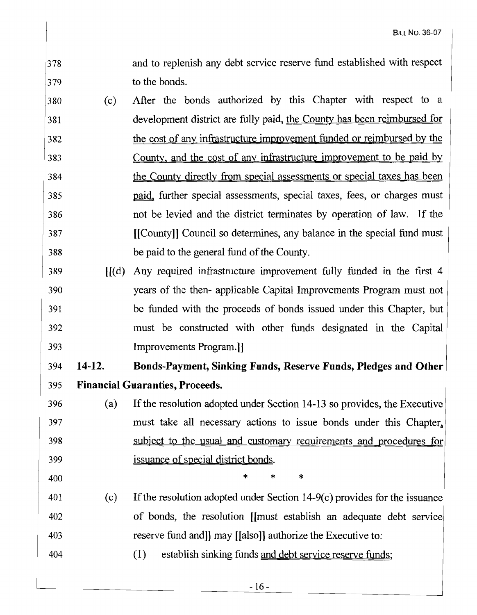- and to replenish any debt service reserve fund established with respect to the bonds. 378 379
- (c) After the bonds authorized by this Chapter with respect to a development district are fully paid, the County has been reimbursed for the cost of any infrastructure improvement funded or reimbursed by the County, and the cost of any infrastructure improvement to be paid by the County directly from special assessments or special taxes has been paid, further special assessments, special taxes, fees, or charges must not be levied and the district terminates by operation of law. If the [[County]] Council so determines, any balance in the special fund must be paid to the general fund of the County. 380 381 382 383 384 385 386 387 388
- [[(d) Any required infrastructure improvement fully funded in the first 4 years of the then- applicable Capital Improvements Program must not be funded with the proceeds of bonds issued under this Chapter, but must be constructed with other funds designated in the Capital Improvements Program.]] 389 390 391 392 393

## **14-12. Bonds-Payment, Sinking Funds, Reserve Funds, Pledges and Other Financial Guaranties, Proceeds.** 394 395

- (a) Ifthe resolution adopted under Section 14-13 so provides, the Executive must take all necessary actions to issue bonds under this Chapter, subject to the usual and customary requirements and procedures for issuance of special district bonds. 396 397 398 399
- 400
- $(c)$  If the resolution adopted under Section 14-9 $(c)$  provides for the issuance of bonds, the resolution [[must establish an adequate debt service] reserve fund and]] may [[also]] authorize the Executive to: 401 402 403
- (l) establish sinking funds and debt service reserve funds; 404

\* \* \*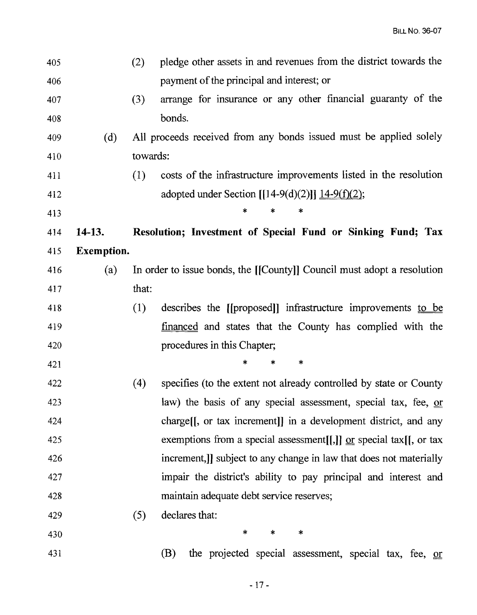| 405 |                   | (2)      | pledge other assets in and revenues from the district towards the       |
|-----|-------------------|----------|-------------------------------------------------------------------------|
| 406 |                   |          | payment of the principal and interest; or                               |
| 407 |                   | (3)      | arrange for insurance or any other financial guaranty of the            |
| 408 |                   |          | bonds.                                                                  |
| 409 | (d)               |          | All proceeds received from any bonds issued must be applied solely      |
| 410 |                   | towards: |                                                                         |
| 411 |                   | (1)      | costs of the infrastructure improvements listed in the resolution       |
| 412 |                   |          | adopted under Section $[[14-9(d)(2)]]$ $\underline{14-9(f)(2)}$ ;       |
| 413 |                   |          | ∗                                                                       |
| 414 | $14-13.$          |          | Resolution; Investment of Special Fund or Sinking Fund; Tax             |
| 415 | <b>Exemption.</b> |          |                                                                         |
| 416 | (a)               |          | In order to issue bonds, the [[County]] Council must adopt a resolution |
| 417 |                   | that:    |                                                                         |
| 418 |                   | (1)      | describes the [[proposed]] infrastructure improvements to be            |
| 419 |                   |          | <u>financed</u> and states that the County has complied with the        |
| 420 |                   |          | procedures in this Chapter;                                             |
| 421 |                   |          | *<br>$\ast$<br>∗                                                        |
| 422 |                   | (4)      | specifies (to the extent not already controlled by state or County      |
| 423 |                   |          | law) the basis of any special assessment, special tax, fee, or          |
| 424 |                   |          | charge. (I, or tax increment) in a development district, and any        |
| 425 |                   |          | exemptions from a special assessment[[,]] $or$ special tax[[, or tax    |
| 426 |                   |          | increment, all subject to any change in law that does not materially    |
| 427 |                   |          | impair the district's ability to pay principal and interest and         |
| 428 |                   |          | maintain adequate debt service reserves;                                |
| 429 |                   | (5)      | declares that:                                                          |
| 430 |                   |          | $\ast$<br>$\ast$<br>*                                                   |
| 431 |                   |          | the projected special assessment, special tax, fee, or<br>(B)           |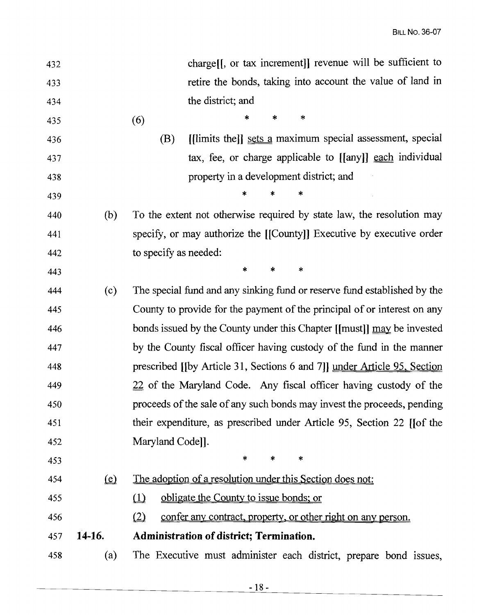| 432 |                                | charge. [J, or tax increment]] revenue will be sufficient to               |
|-----|--------------------------------|----------------------------------------------------------------------------|
| 433 |                                | retire the bonds, taking into account the value of land in                 |
| 434 |                                | the district; and                                                          |
| 435 |                                | $\ast$<br>*<br>∗<br>(6)                                                    |
| 436 |                                | [[limits the]] sets a maximum special assessment, special<br>(B)           |
| 437 |                                | tax, fee, or charge applicable to [[any]] each individual                  |
| 438 |                                | property in a development district; and                                    |
| 439 |                                | *<br>*<br>*                                                                |
| 440 | (b)                            | To the extent not otherwise required by state law, the resolution may      |
| 441 |                                | specify, or may authorize the [[County]] Executive by executive order      |
| 442 |                                | to specify as needed:                                                      |
| 443 |                                | $\ast$<br>*<br>$\ast$                                                      |
| 444 | (c)                            | The special fund and any sinking fund or reserve fund established by the   |
| 445 |                                | County to provide for the payment of the principal of or interest on any   |
| 446 |                                | bonds issued by the County under this Chapter [[must]] may be invested     |
| 447 |                                | by the County fiscal officer having custody of the fund in the manner      |
| 448 |                                | prescribed [[by Article 31, Sections 6 and 7]] under Article 95, Section   |
| 449 |                                | 22 of the Maryland Code. Any fiscal officer having custody of the          |
| 450 |                                | proceeds of the sale of any such bonds may invest the proceeds, pending    |
| 451 |                                | their expenditure, as prescribed under Article 95, Section 22 [of the      |
| 452 |                                | Maryland Code]].                                                           |
| 453 |                                | $\ast$<br>$\ast$<br>*                                                      |
| 454 | $\left( \underline{e} \right)$ | The adoption of a resolution under this Section does not:                  |
| 455 |                                | obligate the County to issue bonds; or<br>$\mathbf{\underline{u}}$         |
| 456 |                                | (2)<br><u>confer any contract, property, or other right on any person.</u> |
| 457 | 14-16.                         | Administration of district; Termination.                                   |
| 458 | (a)                            | The Executive must administer each district, prepare bond issues,          |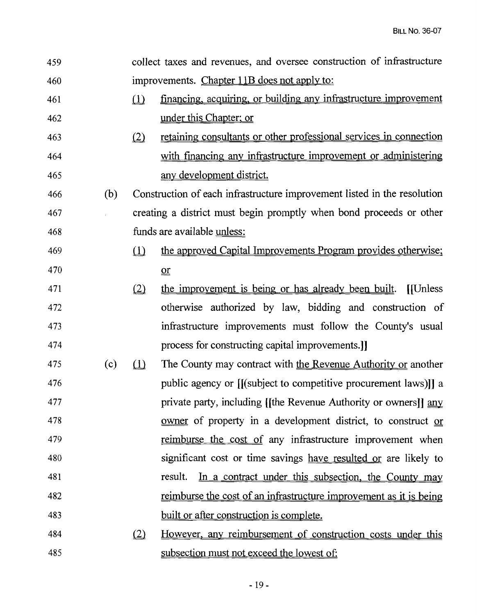| 459 |     |              | collect taxes and revenues, and oversee construction of infrastructure    |
|-----|-----|--------------|---------------------------------------------------------------------------|
| 460 |     |              | improvements. Chapter 11B does not apply to:                              |
| 461 |     | $\Omega$     | financing, acquiring, or building any infrastructure improvement          |
| 462 |     |              | under this Chapter; or                                                    |
| 463 |     | (2)          | retaining consultants or other professional services in connection        |
| 464 |     |              | with financing any infrastructure improvement or administering            |
| 465 |     |              | <u>any development district.</u>                                          |
| 466 | (b) |              | Construction of each infrastructure improvement listed in the resolution  |
| 467 |     |              | creating a district must begin promptly when bond proceeds or other       |
| 468 |     |              | funds are available unless:                                               |
| 469 |     | $\Omega$     | the approved Capital Improvements Program provides otherwise;             |
| 470 |     |              | $\mathbf{p}$                                                              |
| 471 |     | (2)          | the improvement is being or has already been built.<br>[[Unless]          |
| 472 |     |              | otherwise authorized by law, bidding and construction of                  |
| 473 |     |              | infrastructure improvements must follow the County's usual                |
| 474 |     |              | process for constructing capital improvements.]                           |
| 475 | (c) | $\Box$       | The County may contract with the Revenue Authority or another             |
| 476 |     |              | public agency or [[(subject to competitive procurement laws)]] a          |
| 477 |     |              | private party, including [[the Revenue Authority or owners]] any          |
| 478 |     |              | <u>owner</u> of property in a development district, to construct or       |
| 479 |     |              | <u>reimburse the cost of</u> any infrastructure improvement when          |
| 480 |     |              | significant cost or time savings have resulted or are likely to           |
| 481 |     |              | In a contract under this subsection, the County may<br>result.            |
| 482 |     |              | <u>reimburse the cost of an infrastructure improvement as it is being</u> |
| 483 |     |              | built or after construction is complete.                                  |
| 484 |     | $\mathbf{Q}$ | <u>However, any reimbursement of construction costs under this</u>        |
| 485 |     |              | subsection must not exceed the lowest of:                                 |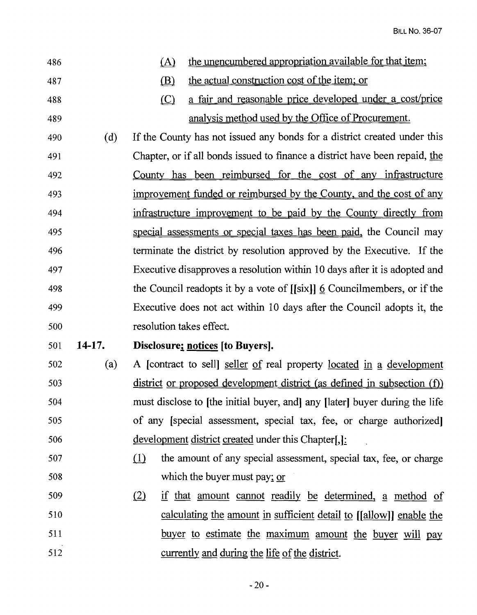| 486 |        | the unencumbered appropriation available for that item;<br>(A)                 |
|-----|--------|--------------------------------------------------------------------------------|
| 487 |        | the actual construction cost of the item; or<br>(B)                            |
| 488 |        | a fair and reasonable price developed under a cost/price<br>$\bigcirc$         |
| 489 |        | analysis method used by the Office of Procurement.                             |
| 490 | (d)    | If the County has not issued any bonds for a district created under this       |
| 491 |        | Chapter, or if all bonds issued to finance a district have been repaid, the    |
| 492 |        | County has been reimbursed for the cost of any infrastructure                  |
| 493 |        | improvement funded or reimbursed by the County, and the cost of any            |
| 494 |        | infrastructure improvement to be paid by the County directly from              |
| 495 |        | special assessments or special taxes has been paid, the Council may            |
| 496 |        | terminate the district by resolution approved by the Executive. If the         |
| 497 |        | Executive disapproves a resolution within 10 days after it is adopted and      |
| 498 |        | the Council readopts it by a vote of $[[six]] \&$ Councilmembers, or if the    |
| 499 |        | Executive does not act within 10 days after the Council adopts it, the         |
|     |        |                                                                                |
| 500 |        | resolution takes effect.                                                       |
| 501 | 14-17. | Disclosure; notices [to Buyers].                                               |
| 502 | (a)    | A [contract to sell] seller of real property located in a development          |
| 503 |        | <u>district or proposed development district (as defined in subsection (f)</u> |
| 504 |        | must disclose to [the initial buyer, and] any [later] buyer during the life    |
| 505 |        | of any [special assessment, special tax, fee, or charge authorized]            |
| 506 |        | development district created under this Chapter[,]:                            |
| 507 |        | (1)<br>the amount of any special assessment, special tax, fee, or charge       |
| 508 |        | which the buyer must pay; $or$                                                 |
| 509 |        | (2)<br><u>if that amount cannot readily be determined</u> , a method of        |
| 510 |        | <u>calculating the amount in sufficient detail to [[allow]] enable the</u>     |
| 511 |        | buyer to estimate the maximum amount the buyer will pay                        |
| 512 |        | currently and during the life of the district.                                 |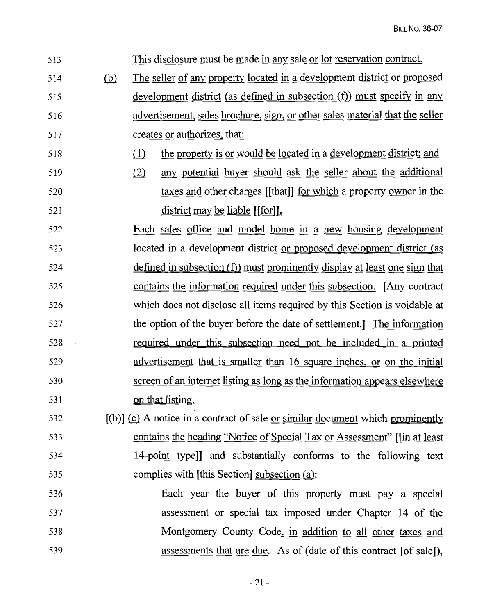513 This disclosure must be made in any sale or lot reservation contract. 514 (b) The seller of any property located in a development district or proposed 515 development district (as defined in subsection (f)) must specify in any 516 advertisement, sales brochure, or other sales material that the seller 517 creates or <u>authorizes</u>, that: 518 (1) the property is or would be located in a development district; and 519 (2) any potential buyer should ask the seller about the additional 520 taxes and other charges [[that]] for which a property owner in the 521 district may be liable [[for]]. 522 Each sales office and model home in a new housing development 523 located in development district or proposed development district (as  $524$  defined in subsection (f) must prominently display at least one sign that 525 contains the information required under this subsection. [Any contract 526 which does not disclose all items required by this Section is voidable at 527 the option of the buyer before the date of settlement.] The information 528 required under this subsection need not be included in a printed 529 advertisement that is smaller than 16 square inches. or on the initial 530 screen of an internet listing as long as the information appears elsewhere 531 on that listing.  $[6]$  [(b)] (c) A notice in a contract of sale or similar document which prominently 533 contains the heading "Notice of Special Tax or Assessment" [[in at least 534 14-point type]] and substantially conforms to the following text 535 complies with [this Section] subsection (a): 536 Each year the buyer of this property must pay a special 537 assessment or special tax imposed under Chapter 14 of the 538 Montgomery County Code, in addition to all other taxes and 539 assessments that are due. As of (date of this contract [of sale]),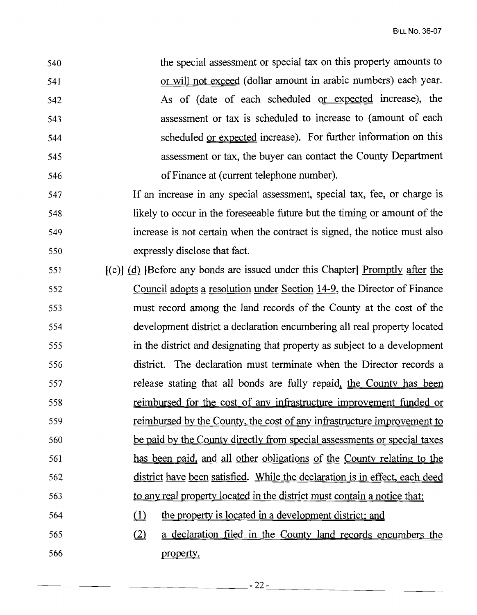the special assessment or special tax on this property amounts to or will not exceed (dollar amount in arabic numbers) each year. As of (date of each scheduled or expected increase), the assessment or tax is scheduled to increase to (amount of each scheduled or expected increase). For further information on this assessment or tax, the buyer can contact the County Department ofFinance at (current telephone number).

 If an increase in any special assessment, special tax, fee, or charge is 548 likely to occur in the foreseeable future but the timing or amount of the increase is not certain when the contract is signed, the notice must also expressly disclose that fact.

- $[651]$  [(c)] (d) [Before any bonds are issued under this Chapter] Promptly after the 552 Council adopts a resolution under Section 14-9, the Director of Finance must record among the land records of the County at the cost of the development district a declaration encumbering all real property located in the district and designating that property as subject to a development district. The declaration must terminate when the Director records a 557 release stating that all bonds are fully repaid, the County has been reimbursed for the cost of any infrastructure improvement funded or 559 reimbursed by the County, the cost of any infrastructure improvement to be paid by the County directly from special assessments or special taxes has been paid, and all other obligations of the County relating to the district have been satisfied. While the declaration is in effect. each deed 563 to any real property located in the district must contain a notice that: 564 (1) the property is located in a development district; and
- $(2)$  a declaration filed in the County land records encumbers the property.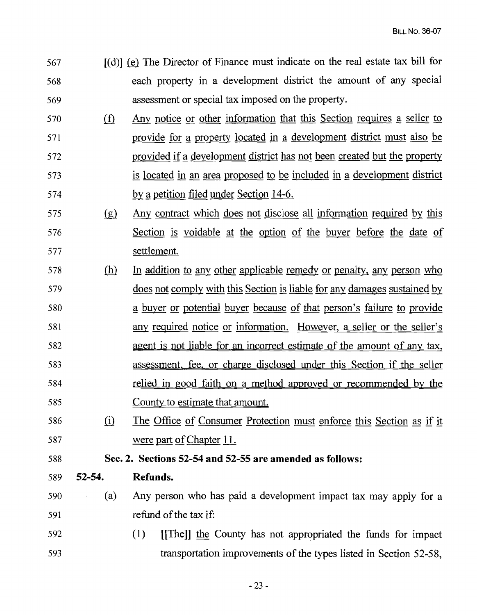- [(d)] liD The Director of Finance must indicate on the real estate tax bill for each property in a development district the amount of any special assessment or special tax imposed on the property.
- 570 (f) Any notice or other information that this Section requires a seller to 571 provide for a property located in a development district must also be 572 provided if a development district has not been created but the property is located in an area proposed to be included in development district 574 by a petition filed under Section 14-6.
- $(9)$  Any contract which does not disclose all information required by this Section is voidable at the option of the buyer before the date of settlement.
- (h} In addition to any other applicable remedy or penalty, any person who 579 does not comply with this Section is liable for any damages sustained by buyer or potential buyer because of that person's failure to provide any required notice or information. However, a seller or the seller's agent is not liable for an incorrect estimate of the amount of any tax, assessment. fee, or charge disclosed under this Section if the seller relied in good faith on a method approved or recommended by the County to estimate that amount.
- 586 (i) The Office of Consumer Protection must enforce this Section as if it 587 were part of Chapter 11.

## Sec. 2. Sections 52-54 and 52-55 are amended as follows:

- 52-54. Refunds.
- (a) Any person who has paid a development impact tax may apply for a refund ofthe tax if:
- (1) [[The]] the County has not appropriated the funds for impact 593 transportation improvements of the types listed in Section 52-58,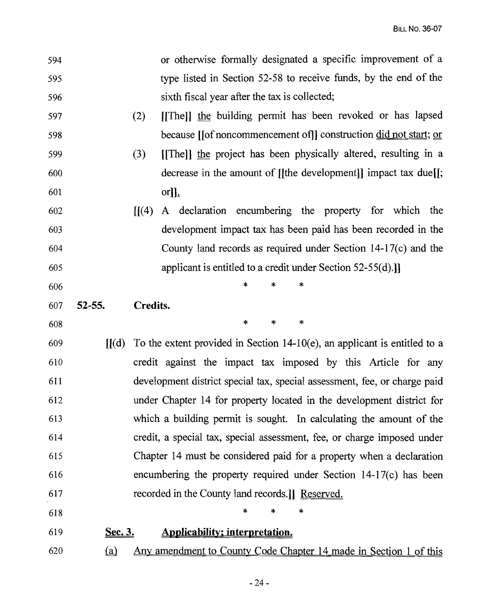- or otherwise formally designated a specific improvement of a type listed in Section 52-58 to receive funds, by the end of the sixth fiscal year after the tax is collected; 594 595 596
- (2) [[The]] the building permit has been revoked or has lapsed because [lof noncommencement of]] construction did not start; or 597 598
- (3) [[The)) the project has been physically altered, resulting in a decrease in the amount of [[the development]] impact tax due[[; or]l, 599 600 601
- $[1(4)$  A declaration encumbering the property for which the development impact tax has been paid has been recorded in the County land records as required under Section 14-17(c) and the applicant is entitled to a credit under Section 52-55(d).]] 602 603 604 605

\*

\*

\* \* \* 606

Credits. 607 52-55.

\* \* 608

- $[(d)$  To the extent provided in Section 14-10(e), an applicant is entitled to a credit against the impact tax imposed by this Article for any development district special tax, special assessment, fee, or charge paid under Chapter 14 for property located in the development district for which a building permit is sought. In calculating the amount of the credit, a special tax, special assessment, fee, or charge imposed under Chapter 14 must be considered paid for a property when a declaration encumbering the property required under Section 14-17(c) has been recorded in the County land records.]] Reserved. 609 610 611 612 613 614 615 616 617
- 618
- Applicability; interpretation. Sec. 3. 619
- (a) Any amendment to County Code Chapter 14 made in Section 1 of this 620

\*

\*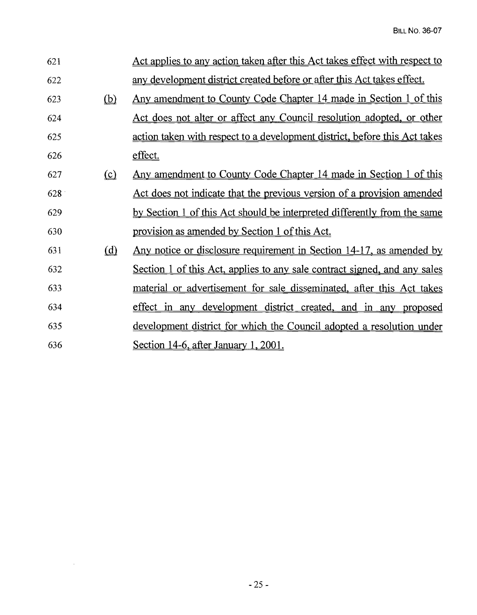| 621 |          | Act applies to any action taken after this Act takes effect with respect to     |
|-----|----------|---------------------------------------------------------------------------------|
| 622 |          | any development district created before or after this Act takes effect.         |
| 623 | (b)      | Any amendment to County Code Chapter 14 made in Section 1 of this               |
| 624 |          | Act does not alter or affect any Council resolution adopted, or other           |
| 625 |          | action taken with respect to a development district, before this Act takes      |
| 626 |          | effect.                                                                         |
| 627 | $\Omega$ | <u>Any amendment to County Code Chapter 14 made in Section 1 of this</u>        |
| 628 |          | Act does not indicate that the previous version of a provision amended          |
| 629 |          | <u>by Section 1 of this Act should be interpreted differently from the same</u> |
| 630 |          | provision as amended by Section 1 of this Act.                                  |
| 631 | (d)      | Any notice or disclosure requirement in Section 14-17, as amended by            |
| 632 |          | Section 1 of this Act, applies to any sale contract signed, and any sales       |
| 633 |          | material or advertisement for sale disseminated, after this Act takes           |
| 634 |          | effect in any development district created, and in any proposed                 |
| 635 |          | development district for which the Council adopted a resolution under           |
| 636 |          | Section 14-6, after January 1, 2001.                                            |

 $\mathcal{L}_{\text{max}}$  ,  $\mathcal{L}_{\text{max}}$